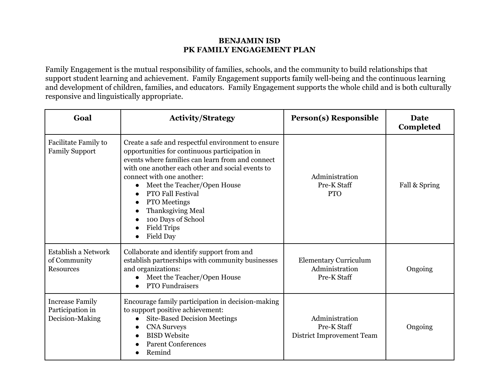## **BENJAMIN ISD PK FAMILY ENGAGEMENT PLAN**

Family Engagement is the mutual responsibility of families, schools, and the community to build relationships that support student learning and achievement. Family Engagement supports family well-being and the continuous learning and development of children, families, and educators. Family Engagement supports the whole child and is both culturally responsive and linguistically appropriate.

| Goal                                                          | <b>Activity/Strategy</b>                                                                                                                                                                                                                                                                                                                                                                                        | <b>Person(s)</b> Responsible                                  | Date<br>Completed |
|---------------------------------------------------------------|-----------------------------------------------------------------------------------------------------------------------------------------------------------------------------------------------------------------------------------------------------------------------------------------------------------------------------------------------------------------------------------------------------------------|---------------------------------------------------------------|-------------------|
| Facilitate Family to<br><b>Family Support</b>                 | Create a safe and respectful environment to ensure<br>opportunities for continuous participation in<br>events where families can learn from and connect<br>with one another each other and social events to<br>connect with one another:<br>Meet the Teacher/Open House<br><b>PTO Fall Festival</b><br><b>PTO</b> Meetings<br>Thanksgiving Meal<br>100 Days of School<br><b>Field Trips</b><br><b>Field Day</b> | Administration<br>Pre-K Staff<br><b>PTO</b>                   | Fall & Spring     |
| Establish a Network<br>of Community<br>Resources              | Collaborate and identify support from and<br>establish partnerships with community businesses<br>and organizations:<br>Meet the Teacher/Open House<br><b>PTO Fundraisers</b>                                                                                                                                                                                                                                    | <b>Elementary Curriculum</b><br>Administration<br>Pre-K Staff | Ongoing           |
| <b>Increase Family</b><br>Participation in<br>Decision-Making | Encourage family participation in decision-making<br>to support positive achievement:<br><b>Site-Based Decision Meetings</b><br>$\bullet$<br><b>CNA Surveys</b><br><b>BISD Website</b><br><b>Parent Conferences</b><br>Remind                                                                                                                                                                                   | Administration<br>Pre-K Staff<br>District Improvement Team    | Ongoing           |